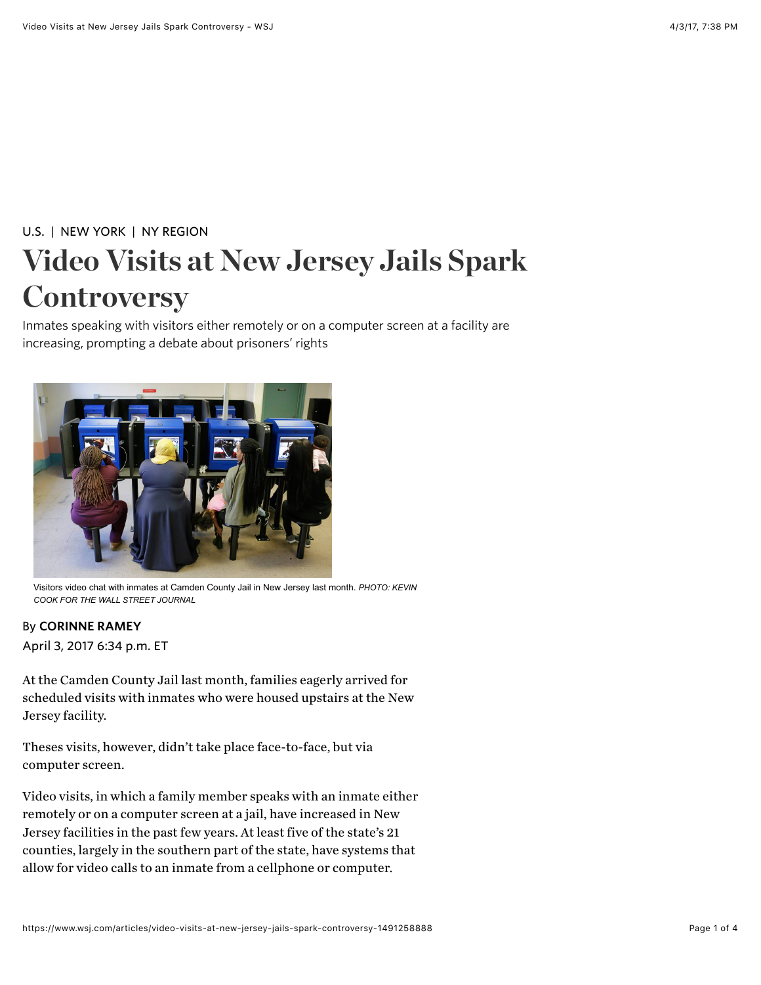## [U.S.](https://www.wsj.com/news/us) | [NEW YORK](http://www.wsj.com/public/page/new-york-main.html) | [NY REGION](https://www.wsj.com/news/types/ny-region) Video Visits at New Jersey Jails Spark **Controversy**

Inmates speaking with visitors either remotely or on a computer screen at a facility are increasing, prompting a debate about prisoners' rights



Visitors video chat with inmates at Camden County Jail in New Jersey last month. *PHOTO: KEVIN COOK FOR THE WALL STREET JOURNAL*

## By CORINNE RAMEY

April 3, 2017 6:34 p.m. ET

At the Camden County Jail last month, families eagerly arrived for scheduled visits with inmates who were housed upstairs at the New Jersey facility.

Theses visits, however, didn't take place face-to-face, but via computer screen.

Video visits, in which a family member speaks with an inmate either remotely or on a computer screen at a jail, have increased in New Jersey facilities in the past few years. At least five of the state's 21 counties, largely in the southern part of the state, have systems that allow for video calls to an inmate from a cellphone or computer.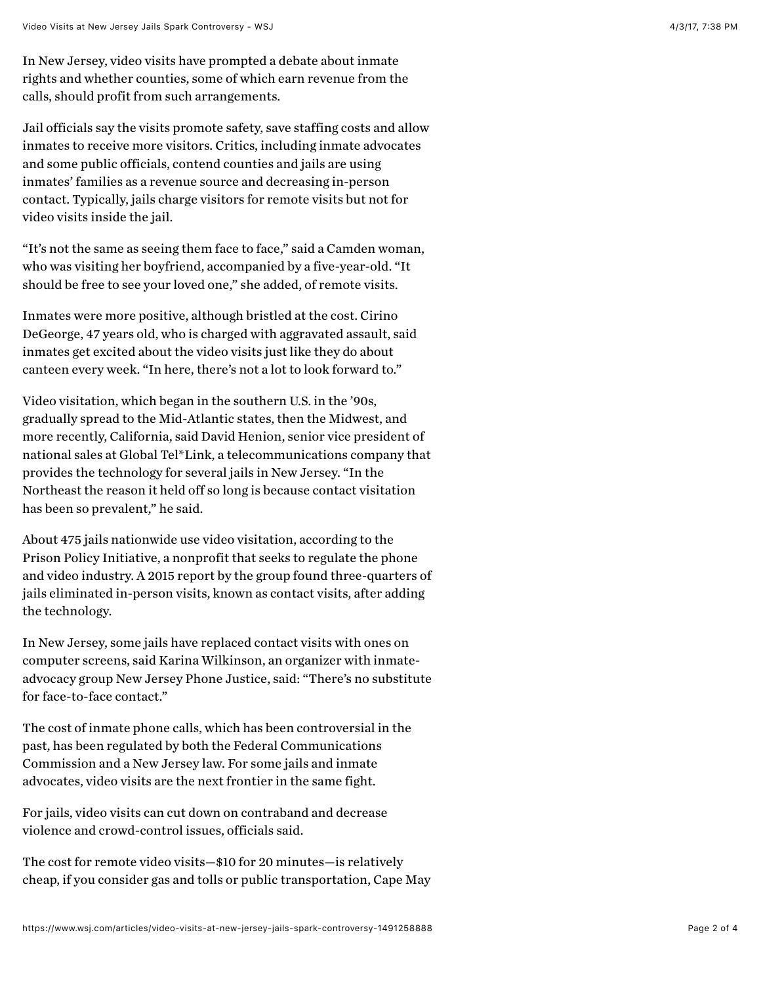In New Jersey, video visits have prompted a debate about inmate rights and whether counties, some of which earn revenue from the calls, should profit from such arrangements.

Jail officials say the visits promote safety, save staffing costs and allow inmates to receive more visitors. Critics, including inmate advocates and some public officials, contend counties and jails are using inmates' families as a revenue source and decreasing in-person contact. Typically, jails charge visitors for remote visits but not for video visits inside the jail.

"It's not the same as seeing them face to face," said a Camden woman, who was visiting her boyfriend, accompanied by a five-year-old. "It should be free to see your loved one," she added, of remote visits.

Inmates were more positive, although bristled at the cost. Cirino DeGeorge, 47 years old, who is charged with aggravated assault, said inmates get excited about the video visits just like they do about canteen every week. "In here, there's not a lot to look forward to."

Video visitation, which began in the southern U.S. in the '90s, gradually spread to the Mid-Atlantic states, then the Midwest, and more recently, California, said David Henion, senior vice president of national sales at Global Tel\*Link, a telecommunications company that provides the technology for several jails in New Jersey. "In the Northeast the reason it held off so long is because contact visitation has been so prevalent," he said.

About 475 jails nationwide use video visitation, according to the Prison Policy Initiative, a nonprofit that seeks to regulate the phone and video industry. A 2015 report by the group found three-quarters of jails eliminated in-person visits, known as contact visits, after adding the technology.

In New Jersey, some jails have replaced contact visits with ones on computer screens, said Karina Wilkinson, an organizer with inmateadvocacy group New Jersey Phone Justice, said: "There's no substitute for face-to-face contact."

The cost of inmate phone calls, which has been controversial in the past, has been regulated by both the Federal Communications Commission and a New Jersey law. For some jails and inmate advocates, video visits are the [next frontier in the same fight.](http://blogs.wsj.com/law/2016/03/07/appeals-court-puts-on-hold-fcc-caps-on-prison-phone-call-charges/)

For jails, video visits can cut down on contraband and decrease violence and crowd-control issues, officials said.

The cost for remote video visits—\$10 for 20 minutes—is relatively cheap, if you consider gas and tolls or public transportation, Cape May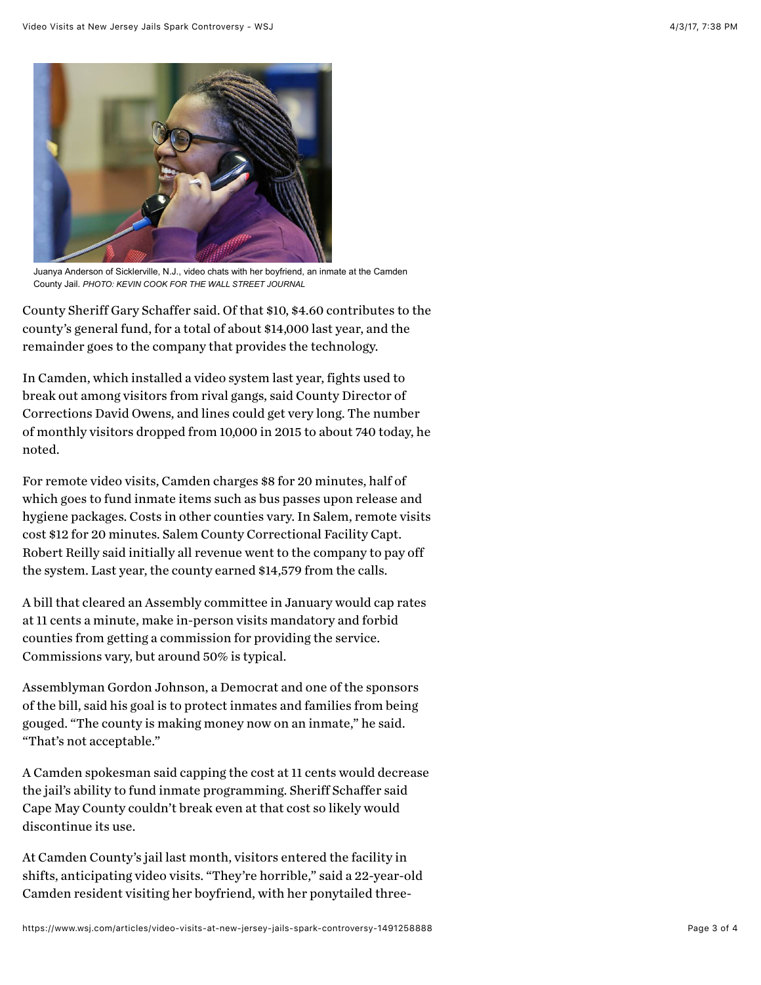

Juanya Anderson of Sicklerville, N.J., video chats with her boyfriend, an inmate at the Camden County Jail. *PHOTO: KEVIN COOK FOR THE WALL STREET JOURNAL*

County Sheriff Gary Schaffer said. Of that \$10, \$4.60 contributes to the county's general fund, for a total of about \$14,000 last year, and the remainder goes to the company that provides the technology.

In Camden, which installed a video system last year, fights used to break out among visitors from rival gangs, said County Director of Corrections David Owens, and lines could get very long. The number of monthly visitors dropped from 10,000 in 2015 to about 740 today, he noted.

For remote video visits, Camden charges \$8 for 20 minutes, half of which goes to fund inmate items such as bus passes upon release and hygiene packages. Costs in other counties vary. In Salem, remote visits cost \$12 for 20 minutes. Salem County Correctional Facility Capt. Robert Reilly said initially all revenue went to the company to pay off the system. Last year, the county earned \$14,579 from the calls.

A bill that cleared an Assembly committee in January would cap rates at 11 cents a minute, make in-person visits mandatory and forbid counties from getting a commission for providing the service. Commissions vary, but around 50% is typical.

Assemblyman Gordon Johnson, a Democrat and one of the sponsors of the bill, said his goal is to protect inmates and families from being gouged. "The county is making money now on an inmate," he said. "That's not acceptable."

A Camden spokesman said capping the cost at 11 cents would decrease the jail's ability to fund inmate programming. Sheriff Schaffer said Cape May County couldn't break even at that cost so likely would discontinue its use.

At Camden County's jail last month, visitors entered the facility in shifts, anticipating video visits. "They're horrible," said a 22-year-old Camden resident visiting her boyfriend, with her ponytailed three